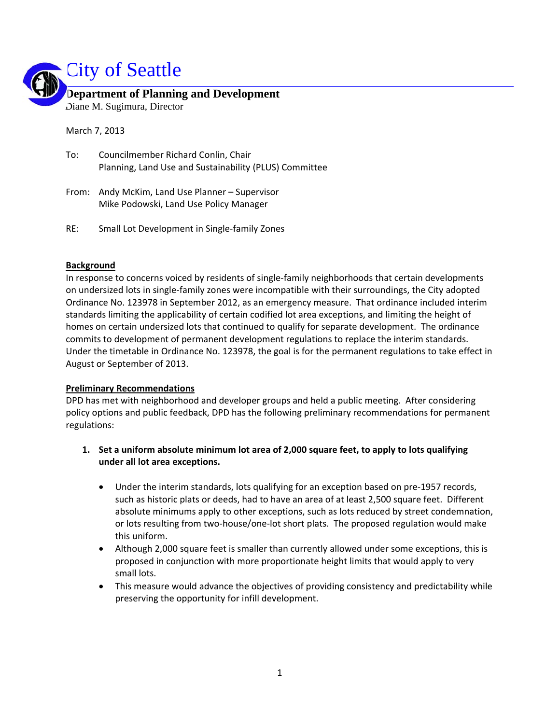

## **Department of Planning and Development**  Diane M. Sugimura, Director

March 7, 2013

| To: | Councilmember Richard Conlin, Chair                    |
|-----|--------------------------------------------------------|
|     | Planning, Land Use and Sustainability (PLUS) Committee |

- From: Andy McKim, Land Use Planner Supervisor Mike Podowski, Land Use Policy Manager
- RE: Small Lot Development in Single‐family Zones

#### **Background**

In response to concerns voiced by residents of single-family neighborhoods that certain developments on undersized lots in single‐family zones were incompatible with their surroundings, the City adopted Ordinance No. 123978 in September 2012, as an emergency measure. That ordinance included interim standards limiting the applicability of certain codified lot area exceptions, and limiting the height of homes on certain undersized lots that continued to qualify for separate development. The ordinance commits to development of permanent development regulations to replace the interim standards. Under the timetable in Ordinance No. 123978, the goal is for the permanent regulations to take effect in August or September of 2013.

#### **Preliminary Recommendations**

DPD has met with neighborhood and developer groups and held a public meeting. After considering policy options and public feedback, DPD has the following preliminary recommendations for permanent regulations:

- **1. Set a uniform absolute minimum lot area of 2,000 square feet, to apply to lots qualifying under all lot area exceptions.**
	- Under the interim standards, lots qualifying for an exception based on pre‐1957 records, such as historic plats or deeds, had to have an area of at least 2,500 square feet. Different absolute minimums apply to other exceptions, such as lots reduced by street condemnation, or lots resulting from two‐house/one‐lot short plats. The proposed regulation would make this uniform.
	- Although 2,000 square feet is smaller than currently allowed under some exceptions, this is proposed in conjunction with more proportionate height limits that would apply to very small lots.
	- This measure would advance the objectives of providing consistency and predictability while preserving the opportunity for infill development.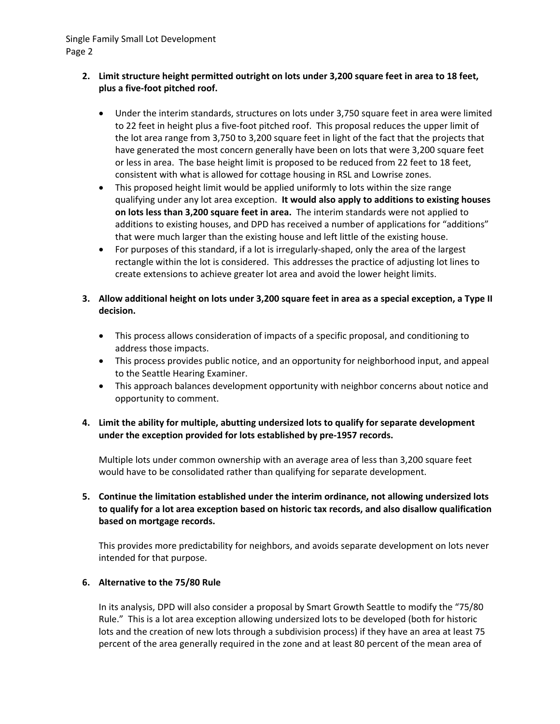## **2. Limit structure height permitted outright on lots under 3,200 square feet in area to 18 feet, plus a five‐foot pitched roof.**

- Under the interim standards, structures on lots under 3,750 square feet in area were limited to 22 feet in height plus a five-foot pitched roof. This proposal reduces the upper limit of the lot area range from 3,750 to 3,200 square feet in light of the fact that the projects that have generated the most concern generally have been on lots that were 3,200 square feet or less in area. The base height limit is proposed to be reduced from 22 feet to 18 feet, consistent with what is allowed for cottage housing in RSL and Lowrise zones.
- This proposed height limit would be applied uniformly to lots within the size range qualifying under any lot area exception. **It would also apply to additions to existing houses on lots less than 3,200 square feet in area.** The interim standards were not applied to additions to existing houses, and DPD has received a number of applications for "additions" that were much larger than the existing house and left little of the existing house.
- For purposes of this standard, if a lot is irregularly‐shaped, only the area of the largest rectangle within the lot is considered. This addresses the practice of adjusting lot lines to create extensions to achieve greater lot area and avoid the lower height limits.
- 3. Allow additional height on lots under 3,200 square feet in area as a special exception, a Type II **decision.**
	- This process allows consideration of impacts of a specific proposal, and conditioning to address those impacts.
	- This process provides public notice, and an opportunity for neighborhood input, and appeal to the Seattle Hearing Examiner.
	- This approach balances development opportunity with neighbor concerns about notice and opportunity to comment.

# **4. Limit the ability for multiple, abutting undersized lots to qualify for separate development under the exception provided for lots established by pre‐1957 records.**

Multiple lots under common ownership with an average area of less than 3,200 square feet would have to be consolidated rather than qualifying for separate development.

# **5. Continue the limitation established under the interim ordinance, not allowing undersized lots to qualify for a lot area exception based on historic tax records, and also disallow qualification based on mortgage records.**

This provides more predictability for neighbors, and avoids separate development on lots never intended for that purpose.

## **6. Alternative to the 75/80 Rule**

In its analysis, DPD will also consider a proposal by Smart Growth Seattle to modify the "75/80 Rule." This is a lot area exception allowing undersized lots to be developed (both for historic lots and the creation of new lots through a subdivision process) if they have an area at least 75 percent of the area generally required in the zone and at least 80 percent of the mean area of